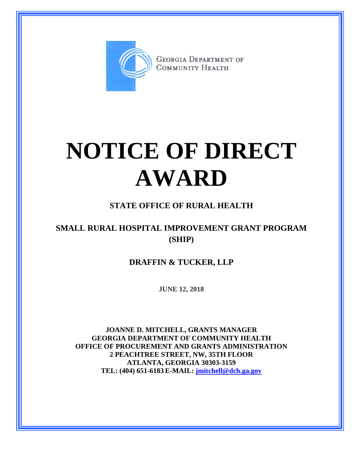

**GEORGIA DEPARTMENT OF** COMMUNITY HEALTH

## **NOTICE OF DIRECT AWARD**

## **STATE OFFICE OF RURAL HEALTH**

## **SMALL RURAL HOSPITAL IMPROVEMENT GRANT PROGRAM (SHIP)**

**DRAFFIN & TUCKER, LLP**

**JUNE 12, 2018**

**JOANNE D. MITCHELL, GRANTS MANAGER GEORGIA DEPARTMENT OF COMMUNITY HEALTH OFFICE OF PROCUREMENT AND GRANTS ADMINISTRATION 2 PEACHTREE STREET, NW, 35TH FLOOR ATLANTA, GEORGIA 30303-3159 TEL: (404) 651-6183 E-MAIL: [jmitchell@dch.ga.gov](mailto:awatson@dch.ga.gov)**